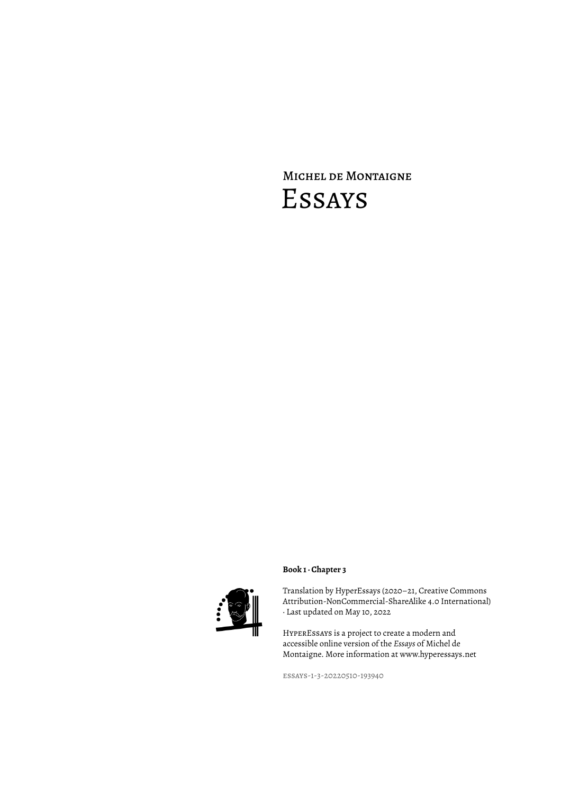# Michel de Montaigne Essays



## **Book 1 · Chapter 3**

Translation by HyperEssays (2020–21, Creative Commons Attribution-NonCommercial-ShareAlike 4.0 International) · Last updated on May 10, 2022

HyperEssays is a project to create a modern and accessible online version of the *Essays* of Michel de Montaigne. More information at www.hyperessays.net

essays-1-3-20220510-193940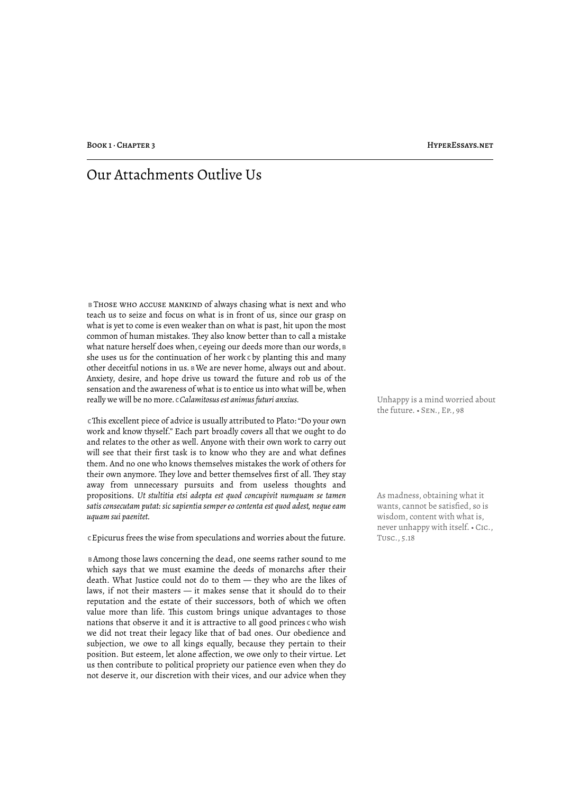# Our Attachments Outlive Us

 **B** Those who accuse mankind of always chasing what is next and who teach us to seize and focus on what is in front of us, since our grasp on what is yet to come is even weaker than on what is past, hit upon the most common of human mistakes. They also know better than to call a mistake what nature herself does when, c eyeing our deeds more than our words,  $\bf{B}$ she uses us for the continuation of her work **C** by planting this and many other deceitful notions in us. **B** We are never home, always out and about. Anxiety, desire, and hope drive us toward the future and rob us of the sensation and the awareness of what is to entice us into what will be, when really we will be no more. *c Calamitosus est animus futuri anxius*. Whappy is a mind worried about

 **C** !is excellent piece of advice is usually attributed to Plato: "Do your own work and know thyself." Each part broadly covers all that we ought to do and relates to the other as well. Anyone with their own work to carry out will see that their first task is to know who they are and what defines them. And no one who knows themselves mistakes the work of others for their own anymore. They love and better themselves first of all. They stay away from unnecessary pursuits and from useless thoughts and propositions. *Ut stultitia etsi adepta est quod concupivit numquam se tamen satis consecutam putat: sic sapientia semper eo contenta est quod adest, neque eam uquam sui paenitet.*

 **C** Epicurus frees the wise from speculations and worries about the future. Tusc., 5.18

 **B** Among those laws concerning the dead, one seems rather sound to me which says that we must examine the deeds of monarchs after their death. What Justice could not do to them — they who are the likes of laws, if not their masters — it makes sense that it should do to their reputation and the estate of their successors, both of which we often value more than life. This custom brings unique advantages to those nations that observe it and it is attractive to all good princes **C** who wish we did not treat their legacy like that of bad ones. Our obedience and subjection, we owe to all kings equally, because they pertain to their position. But esteem, let alone affection, we owe only to their virtue. Let us then contribute to political propriety our patience even when they do not deserve it, our discretion with their vices, and our advice when they the future. • Sen., Ep., 98

As madness, obtaining what it wants, cannot be satisfied, so is wisdom, content with what is, never unhappy with itself. • Cic.,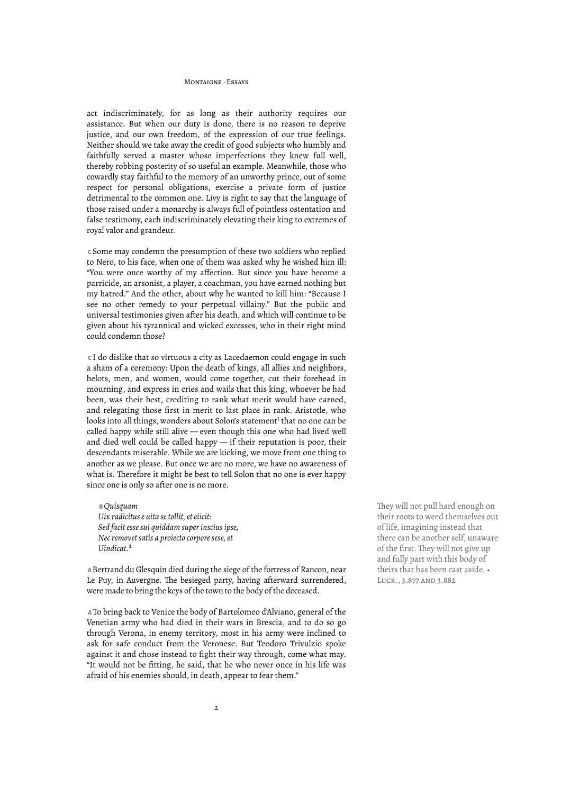act indiscriminately, for as long as their authority requires our assistance. But when our duty is done, there is no reason to deprive justice, and our own freedom, of the expression of our true feelings. Neither should we take away the credit of good subjects who humbly and faithfully served a master whose imperfections they knew full well, thereby robbing posterity of so useful an example. Meanwhile, those who cowardly stay faithful to the memory of an unworthy prince, out of some respect for personal obligations, exercise a private form of justice detrimental to the common one. Livy is right to say that the language of those raised under a monarchy is always full of pointless ostentation and false testimony, each indiscriminately elevating their king to extremes of royal valor and grandeur.

 **C** Some may condemn the presumption of these two soldiers who replied to Nero, to his face, when one of them was asked why he wished him ill: "You were once worthy of my affection. But since you have become a parricide, an arsonist, a player, a coachman, you have earned nothing but my hatred." And the other, about why he wanted to kill him: "Because I see no other remedy to your perpetual villainy." But the public and universal testimonies given after his death, and which will continue to be given about his tyrannical and wicked excesses, who in their right mind could condemn those?

 **C** I do dislike that so virtuous a city as Lacedaemon could engage in such a sham of a ceremony: Upon the death of kings, all allies and neighbors, helots, men, and women, would come together, cut their forehead in mourning, and express in cries and wails that this king, whoever he had been, was their best, crediting to rank what merit would have earned, and relegating those first in merit to last place in rank. Aristotle, who looks into all things, wonders about Solon's statement<sup>1</sup> that no one can be called happy while still alive — even though this one who had lived well and died well could be called happy — if their reputation is poor, their descendants miserable. While we are kicking, we move from one thing to another as we please. But once we are no more, we have no awareness of what is. Therefore it might be best to tell Solon that no one is ever happy since one is only so after one is no more.

 **B** *Quisquam Uix radicitus e uita se tollit, et eiicit: Sed facit esse sui quiddam super inscius ipse, Nec removet satis a proiecto corpore sese, et Uindicat.*²

 **A** Bertrand du Glesquin died during the siege of the fortress of Rancon, near Le Puy, in Auvergne. The besieged party, having afterward surrendered, were made to bring the keys of the town to the body of the deceased.

 **A** To bring back to Venice the body of Bartolomeo d'Alviano, general of the Venetian army who had died in their wars in Brescia, and to do so go through Verona, in enemy territory, most in his army were inclined to ask for safe conduct from the Veronese. But Teodoro Trivulzio spoke against it and chose instead to fight their way through, come what may. "It would not be fitting, he said, that he who never once in his life was afraid of his enemies should, in death, appear to fear them."

They will not pull hard enough on their roots to weed themselves out of life, imagining instead that there can be another self, unaware of the first. They will not give up and fully part with this body of theirs that has been cast aside. • Lucr., 3.877 and 3.882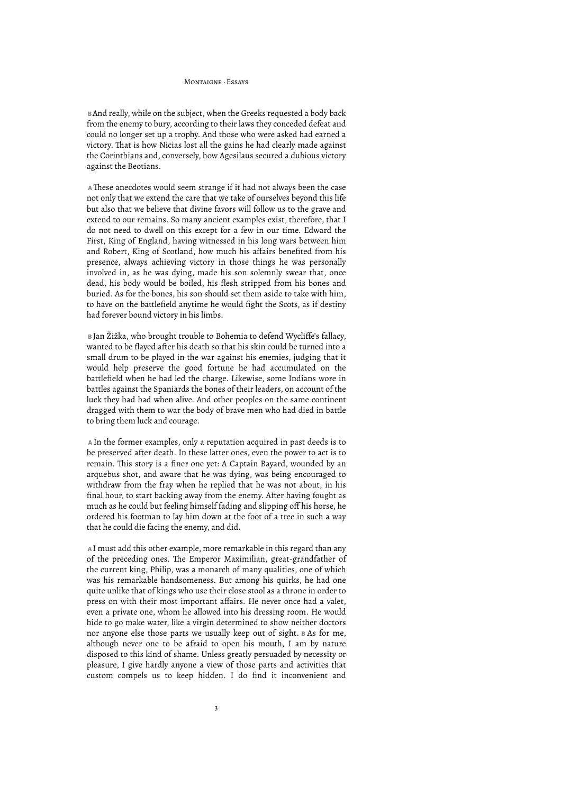**B** And really, while on the subject, when the Greeks requested a body back from the enemy to bury, according to their laws they conceded defeat and could no longer set up a trophy. And those who were asked had earned a victory. That is how Nicias lost all the gains he had clearly made against the Corinthians and, conversely, how Agesilaus secured a dubious victory against the Beotians.

A These anecdotes would seem strange if it had not always been the case not only that we extend the care that we take of ourselves beyond this life but also that we believe that divine favors will follow us to the grave and extend to our remains. So many ancient examples exist, therefore, that I do not need to dwell on this except for a few in our time. Edward the First, King of England, having witnessed in his long wars between him and Robert, King of Scotland, how much his affairs benefited from his presence, always achieving victory in those things he was personally involved in, as he was dying, made his son solemnly swear that, once dead, his body would be boiled, his flesh stripped from his bones and buried. As for the bones, his son should set them aside to take with him, to have on the battlefield anytime he would fight the Scots, as if destiny had forever bound victory in his limbs.

 **B** Jan Žižka, who brought trouble to Bohemia to defend Wycliffe's fallacy, wanted to be flayed after his death so that his skin could be turned into a small drum to be played in the war against his enemies, judging that it would help preserve the good fortune he had accumulated on the battlefield when he had led the charge. Likewise, some Indians wore in battles against the Spaniards the bones of their leaders, on account of the luck they had had when alive. And other peoples on the same continent dragged with them to war the body of brave men who had died in battle to bring them luck and courage.

 **A** In the former examples, only a reputation acquired in past deeds is to be preserved after death. In these latter ones, even the power to act is to remain. This story is a finer one yet: A Captain Bayard, wounded by an arquebus shot, and aware that he was dying, was being encouraged to withdraw from the fray when he replied that he was not about, in his final hour, to start backing away from the enemy. After having fought as much as he could but feeling himself fading and slipping off his horse, he ordered his footman to lay him down at the foot of a tree in such a way that he could die facing the enemy, and did.

 **A** I must add this other example, more remarkable in this regard than any of the preceding ones. The Emperor Maximilian, great-grandfather of the current king, Philip, was a monarch of many qualities, one of which was his remarkable handsomeness. But among his quirks, he had one quite unlike that of kings who use their close stool as a throne in order to press on with their most important affairs. He never once had a valet, even a private one, whom he allowed into his dressing room. He would hide to go make water, like a virgin determined to show neither doctors nor anyone else those parts we usually keep out of sight. **B** As for me, although never one to be afraid to open his mouth, I am by nature disposed to this kind of shame. Unless greatly persuaded by necessity or pleasure, I give hardly anyone a view of those parts and activities that custom compels us to keep hidden. I do find it inconvenient and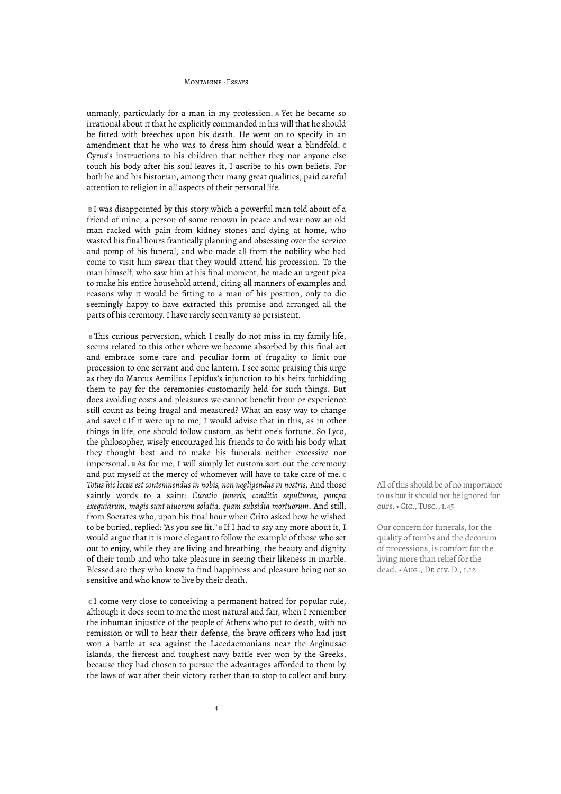unmanly, particularly for a man in my profession. **A** Yet he became so irrational about it that he explicitly commanded in his will that he should be fitted with breeches upon his death. He went on to specify in an amendment that he who was to dress him should wear a blindfold. **C**  Cyrus's instructions to his children that neither they nor anyone else touch his body after his soul leaves it, I ascribe to his own beliefs. For both he and his historian, among their many great qualities, paid careful attention to religion in all aspects of their personal life.

 **B** I was disappointed by this story which a powerful man told about of a friend of mine, a person of some renown in peace and war now an old man racked with pain from kidney stones and dying at home, who wasted his final hours frantically planning and obsessing over the service and pomp of his funeral, and who made all from the nobility who had come to visit him swear that they would attend his procession. To the man himself, who saw him at his final moment, he made an urgent plea to make his entire household attend, citing all manners of examples and reasons why it would be fitting to a man of his position, only to die seemingly happy to have extracted this promise and arranged all the parts of his ceremony. I have rarely seen vanity so persistent.

**B** This curious perversion, which I really do not miss in my family life, seems related to this other where we become absorbed by this final act and embrace some rare and peculiar form of frugality to limit our procession to one servant and one lantern. I see some praising this urge as they do Marcus Aemilius Lepidus's injunction to his heirs forbidding them to pay for the ceremonies customarily held for such things. But does avoiding costs and pleasures we cannot benefit from or experience still count as being frugal and measured? What an easy way to change and save! **C** If it were up to me, I would advise that in this, as in other things in life, one should follow custom, as befit one's fortune. So Lyco, the philosopher, wisely encouraged his friends to do with his body what they thought best and to make his funerals neither excessive nor impersonal. **B** As for me, I will simply let custom sort out the ceremony and put myself at the mercy of whomever will have to take care of me. **C**  *Totus hic locus est contemnendus in nobis, non negligendus in nostris.* And those saintly words to a saint: *Curatio funeris, conditio sepulturae, pompa exequiarum, magis sunt uiuorum solatia, quam subsidia mortuorum.* And still, from Socrates who, upon his final hour when Crito asked how he wished to be buried, replied: "As you see fit." **B** If I had to say any more about it, I would argue that it is more elegant to follow the example of those who set out to enjoy, while they are living and breathing, the beauty and dignity of their tomb and who take pleasure in seeing their likeness in marble. Blessed are they who know to find happiness and pleasure being not so sensitive and who know to live by their death.

 **C** I come very close to conceiving a permanent hatred for popular rule, although it does seem to me the most natural and fair, when I remember the inhuman injustice of the people of Athens who put to death, with no remission or will to hear their defense, the brave officers who had just won a battle at sea against the Lacedaemonians near the Arginusae islands, the fiercest and toughest navy battle ever won by the Greeks, because they had chosen to pursue the advantages afforded to them by the laws of war after their victory rather than to stop to collect and bury All of this should be of no importance to us but it should not be ignored for ours. • Cic., Tusc., 1.45

Our concern for funerals, for the quality of tombs and the decorum of processions, is comfort for the living more than relief for the dead. • Aug., De civ. D., 1.12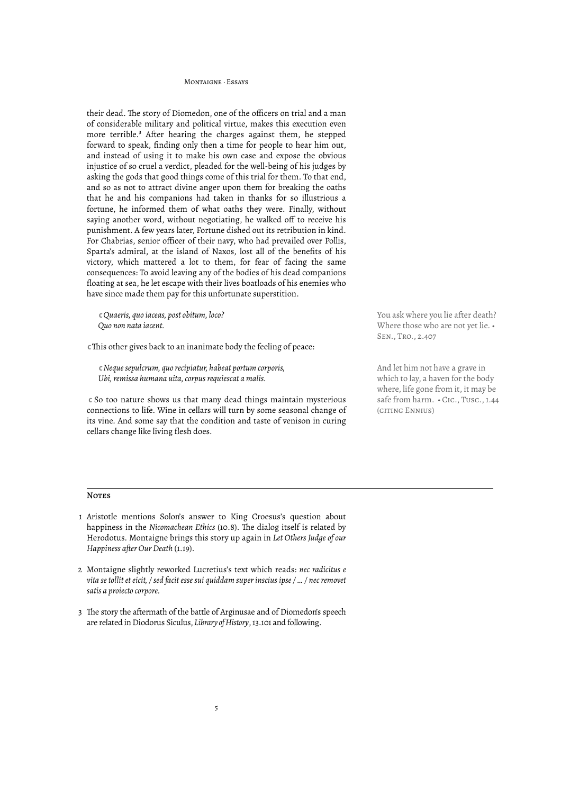their dead. The story of Diomedon, one of the officers on trial and a man of considerable military and political virtue, makes this execution even more terrible.<sup>3</sup> After hearing the charges against them, he stepped forward to speak, finding only then a time for people to hear him out, and instead of using it to make his own case and expose the obvious injustice of so cruel a verdict, pleaded for the well-being of his judges by asking the gods that good things come of this trial for them. To that end, and so as not to attract divine anger upon them for breaking the oaths that he and his companions had taken in thanks for so illustrious a fortune, he informed them of what oaths they were. Finally, without saying another word, without negotiating, he walked off to receive his punishment. A few years later, Fortune dished out its retribution in kind. For Chabrias, senior officer of their navy, who had prevailed over Pollis, Sparta's admiral, at the island of Naxos, lost all of the benefits of his victory, which mattered a lot to them, for fear of facing the same consequences: To avoid leaving any of the bodies of his dead companions floating at sea, he let escape with their lives boatloads of his enemies who have since made them pay for this unfortunate superstition.

 **C** *Quaeris, quo iaceas, post obitum, loco? Quo non nata iacent.*

**c** This other gives back to an inanimate body the feeling of peace:

 **C** *Neque sepulcrum, quo recipiatur, habeat portum corporis, Ubi, remissa humana uita, corpus requiescat a malis.*

 **C** So too nature shows us that many dead things maintain mysterious connections to life. Wine in cellars will turn by some seasonal change of its vine. And some say that the condition and taste of venison in curing cellars change like living flesh does.

You ask where you lie after death? Where those who are not yet lie. • Sen., Tro., 2.407

And let him not have a grave in which to lay, a haven for the body where, life gone from it, it may be safe from harm. • Cic., Tusc., 1.44 (citing Ennius)

#### **NOTES**

- 1 Aristotle mentions Solon's answer to King Croesus's question about happiness in the *Nicomachean Ethics* (10.8). The dialog itself is related by Herodotus. Montaigne brings this story up again in *Let Others Judge of our Happiness after Our Death* (1.19).
- 2 Montaigne slightly reworked Lucretius's text which reads: *nec radicitus e vita se tollit et eicit, / sed facit esse sui quiddam super inscius ipse / … / nec removet satis a proiecto corpore.*
- 3 The story the aftermath of the battle of Arginusae and of Diomedon's speech are related in Diodorus Siculus, *Library of History*, 13.101 and following.